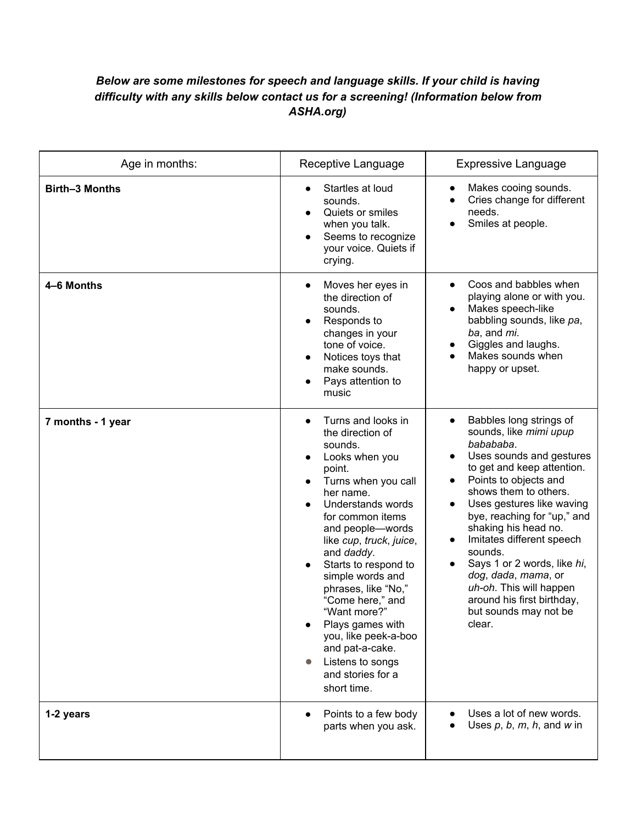## *Below are some milestones for speech and language skills. If your child is having difficulty with any skills below contact us for a screening! (Information below from ASHA.org)*

| Age in months:        | Receptive Language                                                                                                                                                                                                                                                                                                                                                                                                                                    | <b>Expressive Language</b>                                                                                                                                                                                                                                                                                                                                                                                                                                            |
|-----------------------|-------------------------------------------------------------------------------------------------------------------------------------------------------------------------------------------------------------------------------------------------------------------------------------------------------------------------------------------------------------------------------------------------------------------------------------------------------|-----------------------------------------------------------------------------------------------------------------------------------------------------------------------------------------------------------------------------------------------------------------------------------------------------------------------------------------------------------------------------------------------------------------------------------------------------------------------|
| <b>Birth-3 Months</b> | Startles at loud<br>sounds.<br>Quiets or smiles<br>when you talk.<br>Seems to recognize<br>your voice. Quiets if<br>crying.                                                                                                                                                                                                                                                                                                                           | Makes cooing sounds.<br>Cries change for different<br>needs.<br>Smiles at people.                                                                                                                                                                                                                                                                                                                                                                                     |
| 4-6 Months            | Moves her eyes in<br>the direction of<br>sounds.<br>Responds to<br>changes in your<br>tone of voice.<br>Notices toys that<br>make sounds.<br>Pays attention to<br>music                                                                                                                                                                                                                                                                               | Coos and babbles when<br>playing alone or with you.<br>Makes speech-like<br>babbling sounds, like pa,<br>ba, and mi.<br>Giggles and laughs.<br>Makes sounds when<br>happy or upset.                                                                                                                                                                                                                                                                                   |
| 7 months - 1 year     | Turns and looks in<br>the direction of<br>sounds.<br>Looks when you<br>point.<br>Turns when you call<br>her name.<br>Understands words<br>for common items<br>and people-words<br>like cup, truck, juice,<br>and daddy.<br>Starts to respond to<br>simple words and<br>phrases, like "No,"<br>"Come here," and<br>"Want more?"<br>Plays games with<br>you, like peek-a-boo<br>and pat-a-cake.<br>Listens to songs<br>and stories for a<br>short time. | Babbles long strings of<br>sounds, like mimi upup<br>babababa.<br>Uses sounds and gestures<br>to get and keep attention.<br>Points to objects and<br>shows them to others.<br>Uses gestures like waving<br>bye, reaching for "up," and<br>shaking his head no.<br>Imitates different speech<br>$\bullet$<br>sounds.<br>Says 1 or 2 words, like hi,<br>dog, dada, mama, or<br>uh-oh. This will happen<br>around his first birthday,<br>but sounds may not be<br>clear. |
| 1-2 years             | Points to a few body<br>parts when you ask.                                                                                                                                                                                                                                                                                                                                                                                                           | Uses a lot of new words.<br>Uses $p, b, m, h$ , and w in                                                                                                                                                                                                                                                                                                                                                                                                              |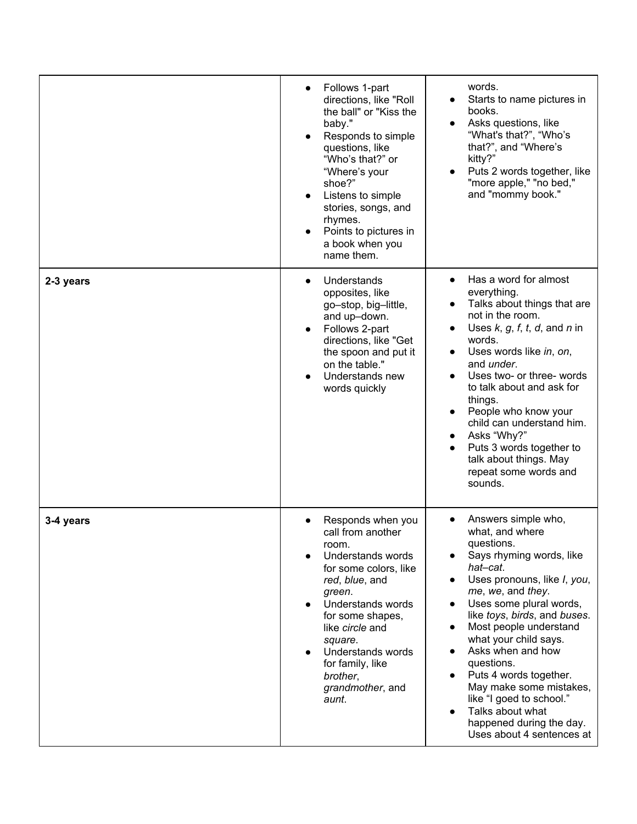|           | Follows 1-part<br>directions, like "Roll<br>the ball" or "Kiss the<br>baby."<br>Responds to simple<br>questions, like<br>"Who's that?" or<br>"Where's your<br>shoe?"<br>Listens to simple<br>stories, songs, and<br>rhymes.<br>Points to pictures in<br>a book when you<br>name them.     | words.<br>Starts to name pictures in<br>books.<br>Asks questions, like<br>"What's that?", "Who's<br>that?", and "Where's<br>kitty?"<br>Puts 2 words together, like<br>"more apple," "no bed,"<br>and "mommy book."                                                                                                                                                                                                                                                                   |
|-----------|-------------------------------------------------------------------------------------------------------------------------------------------------------------------------------------------------------------------------------------------------------------------------------------------|--------------------------------------------------------------------------------------------------------------------------------------------------------------------------------------------------------------------------------------------------------------------------------------------------------------------------------------------------------------------------------------------------------------------------------------------------------------------------------------|
| 2-3 years | Understands<br>opposites, like<br>go-stop, big-little,<br>and up-down.<br>Follows 2-part<br>directions, like "Get<br>the spoon and put it<br>on the table."<br>Understands new<br>words quickly                                                                                           | Has a word for almost<br>everything.<br>Talks about things that are<br>not in the room.<br>Uses $k, g, f, t, d$ , and $n$ in<br>words.<br>Uses words like in, on,<br>$\bullet$<br>and <i>under</i> .<br>Uses two- or three- words<br>to talk about and ask for<br>things.<br>People who know your<br>child can understand him.<br>Asks "Why?"<br>٠<br>Puts 3 words together to<br>talk about things. May<br>repeat some words and<br>sounds.                                         |
| 3-4 years | Responds when you<br>call from another<br>room.<br>Understands words<br>for some colors, like<br>red, blue, and<br>green.<br>Understands words<br>for some shapes,<br>like <i>circle</i> and<br>square.<br>Understands words<br>for family, like<br>brother,<br>grandmother, and<br>aunt. | Answers simple who,<br>what, and where<br>questions.<br>Says rhyming words, like<br>hat-cat.<br>Uses pronouns, like <i>I</i> , you,<br>me, we, and they.<br>Uses some plural words,<br>like toys, birds, and buses.<br>Most people understand<br>what your child says.<br>Asks when and how<br>questions.<br>Puts 4 words together.<br>May make some mistakes,<br>like "I goed to school."<br>Talks about what<br>$\bullet$<br>happened during the day.<br>Uses about 4 sentences at |